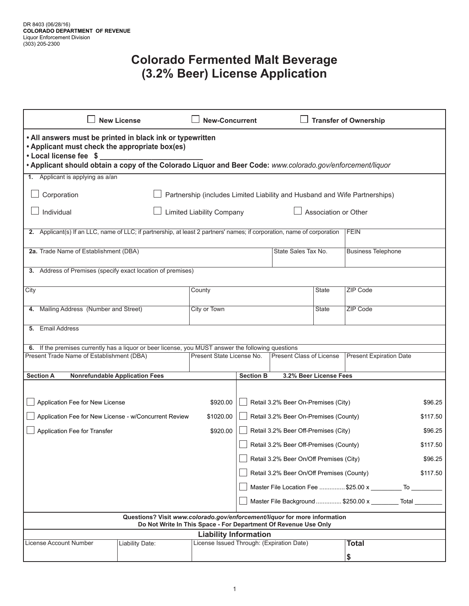## **Colorado Fermented Malt Beverage (3.2% Beer) License Application**

| <b>New License</b>                                                                                                                                                                                                                                  |                                                          | <b>New-Concurrent</b>                     |                                                       |                                     | <b>Transfer of Ownership</b>                     |                                                    |         |  |  |
|-----------------------------------------------------------------------------------------------------------------------------------------------------------------------------------------------------------------------------------------------------|----------------------------------------------------------|-------------------------------------------|-------------------------------------------------------|-------------------------------------|--------------------------------------------------|----------------------------------------------------|---------|--|--|
| • All answers must be printed in black ink or typewritten<br>• Applicant must check the appropriate box(es)<br>• Local license fee \$<br>. Applicant should obtain a copy of the Colorado Liquor and Beer Code: www.colorado.gov/enforcement/liquor |                                                          |                                           |                                                       |                                     |                                                  |                                                    |         |  |  |
| 1. Applicant is applying as a/an                                                                                                                                                                                                                    |                                                          |                                           |                                                       |                                     |                                                  |                                                    |         |  |  |
| Corporation<br>Partnership (includes Limited Liability and Husband and Wife Partnerships)                                                                                                                                                           |                                                          |                                           |                                                       |                                     |                                                  |                                                    |         |  |  |
| Individual                                                                                                                                                                                                                                          | <b>Limited Liability Company</b><br>Association or Other |                                           |                                                       |                                     |                                                  |                                                    |         |  |  |
| 2. Applicant(s) If an LLC, name of LLC; if partnership, at least 2 partners' names; if corporation, name of corporation<br><b>FEIN</b>                                                                                                              |                                                          |                                           |                                                       |                                     |                                                  |                                                    |         |  |  |
| 2a. Trade Name of Establishment (DBA)                                                                                                                                                                                                               |                                                          |                                           |                                                       |                                     | State Sales Tax No.<br><b>Business Telephone</b> |                                                    |         |  |  |
| Address of Premises (specify exact location of premises)<br>3.                                                                                                                                                                                      |                                                          |                                           |                                                       |                                     |                                                  |                                                    |         |  |  |
| City                                                                                                                                                                                                                                                |                                                          | County                                    |                                                       |                                     | <b>State</b>                                     | <b>ZIP Code</b>                                    |         |  |  |
| Mailing Address (Number and Street)<br>4.                                                                                                                                                                                                           |                                                          | City or Town                              |                                                       |                                     | State                                            | ZIP Code                                           |         |  |  |
| 5. Email Address                                                                                                                                                                                                                                    |                                                          |                                           |                                                       |                                     |                                                  |                                                    |         |  |  |
| 6. If the premises currently has a liquor or beer license, you MUST answer the following questions                                                                                                                                                  |                                                          |                                           |                                                       |                                     |                                                  |                                                    |         |  |  |
| Present Trade Name of Establishment (DBA)                                                                                                                                                                                                           |                                                          | Present State License No.                 |                                                       | <b>Present Class of License</b>     |                                                  | <b>Present Expiration Date</b>                     |         |  |  |
| <b>Section A</b>                                                                                                                                                                                                                                    | <b>Nonrefundable Application Fees</b>                    |                                           | <b>Section B</b>                                      |                                     | 3.2% Beer License Fees                           |                                                    |         |  |  |
|                                                                                                                                                                                                                                                     |                                                          |                                           |                                                       |                                     |                                                  |                                                    |         |  |  |
| Application Fee for New License                                                                                                                                                                                                                     |                                                          | \$920.00                                  |                                                       | Retail 3.2% Beer On-Premises (City) |                                                  |                                                    | \$96.25 |  |  |
| Application Fee for New License - w/Concurrent Review                                                                                                                                                                                               |                                                          | \$1020.00                                 | Retail 3.2% Beer On-Premises (County)                 |                                     |                                                  | \$117.50                                           |         |  |  |
| Application Fee for Transfer<br>\$920.00                                                                                                                                                                                                            |                                                          |                                           | Retail 3.2% Beer Off-Premises (City)                  |                                     |                                                  |                                                    | \$96.25 |  |  |
|                                                                                                                                                                                                                                                     |                                                          |                                           | Retail 3.2% Beer Off-Premises (County)<br>\$117.50    |                                     |                                                  |                                                    |         |  |  |
|                                                                                                                                                                                                                                                     |                                                          |                                           | Retail 3.2% Beer On/Off Premises (City)<br>\$96.25    |                                     |                                                  |                                                    |         |  |  |
|                                                                                                                                                                                                                                                     |                                                          |                                           | Retail 3.2% Beer On/Off Premises (County)<br>\$117.50 |                                     |                                                  |                                                    |         |  |  |
|                                                                                                                                                                                                                                                     |                                                          |                                           |                                                       |                                     |                                                  | Master File Location Fee  \$25.00 x ___________ To |         |  |  |
|                                                                                                                                                                                                                                                     |                                                          |                                           |                                                       |                                     |                                                  | Master File Background  \$250.00 x Total           |         |  |  |
| Questions? Visit www.colorado.gov/enforcement/liquor for more information<br>Do Not Write In This Space - For Department Of Revenue Use Only                                                                                                        |                                                          |                                           |                                                       |                                     |                                                  |                                                    |         |  |  |
| <b>Liability Information</b>                                                                                                                                                                                                                        |                                                          |                                           |                                                       |                                     |                                                  |                                                    |         |  |  |
| License Account Number                                                                                                                                                                                                                              | Liability Date:                                          | License Issued Through: (Expiration Date) |                                                       |                                     |                                                  | <b>Total</b>                                       |         |  |  |
|                                                                                                                                                                                                                                                     |                                                          |                                           |                                                       |                                     |                                                  | \$                                                 |         |  |  |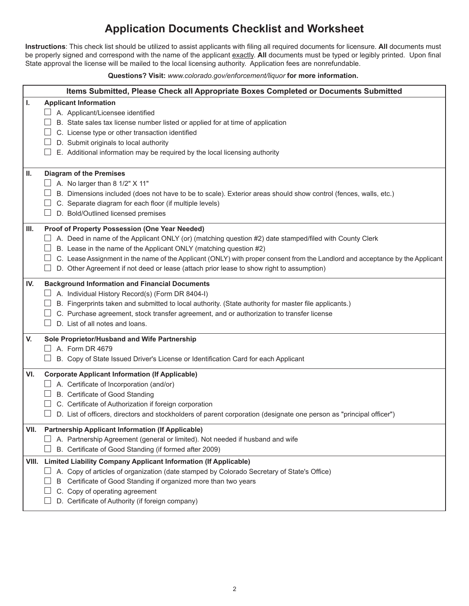## **Application Documents Checklist and Worksheet**

**Instructions**: This check list should be utilized to assist applicants with filing all required documents for licensure. **All** documents must be properly signed and correspond with the name of the applicant exactly. **All** documents must be typed or legibly printed. Upon final State approval the license will be mailed to the local licensing authority. Application fees are nonrefundable.

**Questions? Visit:** *www.colorado.gov/enforcement/liquor* **for more information.**

|      | Items Submitted, Please Check all Appropriate Boxes Completed or Documents Submitted                                                                                                                                                                                                                                                                                                                                                                              |
|------|-------------------------------------------------------------------------------------------------------------------------------------------------------------------------------------------------------------------------------------------------------------------------------------------------------------------------------------------------------------------------------------------------------------------------------------------------------------------|
| T.   | <b>Applicant Information</b><br>A. Applicant/Licensee identified<br>B. State sales tax license number listed or applied for at time of application<br>C. License type or other transaction identified<br>D. Submit originals to local authority<br>E. Additional information may be required by the local licensing authority                                                                                                                                     |
| Ш.   | <b>Diagram of the Premises</b><br>$\Box$ A. No larger than 8 1/2" X 11"<br>B. Dimensions included (does not have to be to scale). Exterior areas should show control (fences, walls, etc.)<br>C. Separate diagram for each floor (if multiple levels)<br>D. Bold/Outlined licensed premises                                                                                                                                                                       |
| Ш.   | Proof of Property Possession (One Year Needed)<br>$\Box$ A. Deed in name of the Applicant ONLY (or) (matching question #2) date stamped/filed with County Clerk<br>B. Lease in the name of the Applicant ONLY (matching question #2)<br>C. Lease Assignment in the name of the Applicant (ONLY) with proper consent from the Landlord and acceptance by the Applicant<br>D. Other Agreement if not deed or lease (attach prior lease to show right to assumption) |
| IV.  | <b>Background Information and Financial Documents</b><br>$\Box$ A. Individual History Record(s) (Form DR 8404-I)<br>B. Fingerprints taken and submitted to local authority. (State authority for master file applicants.)<br>C. Purchase agreement, stock transfer agreement, and or authorization to transfer license<br>D. List of all notes and loans.                                                                                                         |
| V.   | Sole Proprietor/Husband and Wife Partnership<br>$\Box$ A. Form DR 4679<br>B. Copy of State Issued Driver's License or Identification Card for each Applicant                                                                                                                                                                                                                                                                                                      |
| VI.  | <b>Corporate Applicant Information (If Applicable)</b><br>$\Box$ A. Certificate of Incorporation (and/or)<br>B. Certificate of Good Standing<br>凵.<br>C. Certificate of Authorization if foreign corporation<br>D. List of officers, directors and stockholders of parent corporation (designate one person as "principal officer")                                                                                                                               |
| VII. | <b>Partnership Applicant Information (If Applicable)</b><br>A. Partnership Agreement (general or limited). Not needed if husband and wife<br>B. Certificate of Good Standing (if formed after 2009)                                                                                                                                                                                                                                                               |
|      | VIII. Limited Liability Company Applicant Information (If Applicable)<br>A. Copy of articles of organization (date stamped by Colorado Secretary of State's Office)<br>⊔<br>B Certificate of Good Standing if organized more than two years<br>C. Copy of operating agreement<br>D. Certificate of Authority (if foreign company)                                                                                                                                 |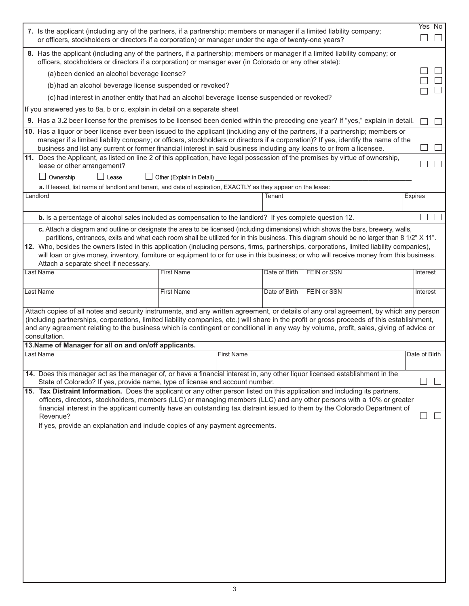| 8. Has the applicant (including any of the partners, if a partnership; members or manager if a limited liability company; or<br>officers, stockholders or directors if a corporation) or manager ever (in Colorado or any other state):                                                                                                                                                                                                         |               |  |  |  |  |  |  |
|-------------------------------------------------------------------------------------------------------------------------------------------------------------------------------------------------------------------------------------------------------------------------------------------------------------------------------------------------------------------------------------------------------------------------------------------------|---------------|--|--|--|--|--|--|
| (a) been denied an alcohol beverage license?                                                                                                                                                                                                                                                                                                                                                                                                    |               |  |  |  |  |  |  |
| (b) had an alcohol beverage license suspended or revoked?                                                                                                                                                                                                                                                                                                                                                                                       |               |  |  |  |  |  |  |
|                                                                                                                                                                                                                                                                                                                                                                                                                                                 |               |  |  |  |  |  |  |
| (c) had interest in another entity that had an alcohol beverage license suspended or revoked?                                                                                                                                                                                                                                                                                                                                                   |               |  |  |  |  |  |  |
| If you answered yes to 8a, b or c, explain in detail on a separate sheet                                                                                                                                                                                                                                                                                                                                                                        |               |  |  |  |  |  |  |
| 9. Has a 3.2 beer license for the premises to be licensed been denied within the preceding one year? If "yes," explain in detail.<br>10. Has a liquor or beer license ever been issued to the applicant (including any of the partners, if a partnership; members or                                                                                                                                                                            |               |  |  |  |  |  |  |
| manager if a limited liability company; or officers, stockholders or directors if a corporation)? If yes, identify the name of the<br>business and list any current or former financial interest in said business including any loans to or from a licensee.                                                                                                                                                                                    |               |  |  |  |  |  |  |
| 11. Does the Applicant, as listed on line 2 of this application, have legal possession of the premises by virtue of ownership,<br>lease or other arrangement?                                                                                                                                                                                                                                                                                   |               |  |  |  |  |  |  |
| $\Box$ Lease<br>Ownership<br>$\Box$ Other (Explain in Detail)                                                                                                                                                                                                                                                                                                                                                                                   |               |  |  |  |  |  |  |
| a. If leased, list name of landlord and tenant, and date of expiration, EXACTLY as they appear on the lease:                                                                                                                                                                                                                                                                                                                                    |               |  |  |  |  |  |  |
| Landlord<br>Tenant                                                                                                                                                                                                                                                                                                                                                                                                                              | Expires       |  |  |  |  |  |  |
|                                                                                                                                                                                                                                                                                                                                                                                                                                                 |               |  |  |  |  |  |  |
| b. Is a percentage of alcohol sales included as compensation to the landlord? If yes complete question 12.                                                                                                                                                                                                                                                                                                                                      |               |  |  |  |  |  |  |
| c. Attach a diagram and outline or designate the area to be licensed (including dimensions) which shows the bars, brewery, walls,<br>partitions, entrances, exits and what each room shall be utilized for in this business. This diagram should be no larger than 8 1/2" X 11".                                                                                                                                                                |               |  |  |  |  |  |  |
| 12. Who, besides the owners listed in this application (including persons, firms, partnerships, corporations, limited liability companies),                                                                                                                                                                                                                                                                                                     |               |  |  |  |  |  |  |
| will loan or give money, inventory, furniture or equipment to or for use in this business; or who will receive money from this business.<br>Attach a separate sheet if necessary.                                                                                                                                                                                                                                                               |               |  |  |  |  |  |  |
| <b>First Name</b><br>Date of Birth<br><b>FEIN or SSN</b><br><b>Last Name</b>                                                                                                                                                                                                                                                                                                                                                                    | Interest      |  |  |  |  |  |  |
|                                                                                                                                                                                                                                                                                                                                                                                                                                                 |               |  |  |  |  |  |  |
| <b>FEIN or SSN</b><br>Last Name<br><b>First Name</b><br>Date of Birth                                                                                                                                                                                                                                                                                                                                                                           | Interest      |  |  |  |  |  |  |
| Attach copies of all notes and security instruments, and any written agreement, or details of any oral agreement, by which any person<br>(including partnerships, corporations, limited liability companies, etc.) will share in the profit or gross proceeds of this establishment,<br>and any agreement relating to the business which is contingent or conditional in any way by volume, profit, sales, giving of advice or<br>consultation. |               |  |  |  |  |  |  |
|                                                                                                                                                                                                                                                                                                                                                                                                                                                 |               |  |  |  |  |  |  |
| 13. Name of Manager for all on and on/off applicants.<br><b>Last Name</b><br><b>First Name</b>                                                                                                                                                                                                                                                                                                                                                  | Date of Birth |  |  |  |  |  |  |
|                                                                                                                                                                                                                                                                                                                                                                                                                                                 |               |  |  |  |  |  |  |
| 14. Does this manager act as the manager of, or have a financial interest in, any other liquor licensed establishment in the<br>State of Colorado? If yes, provide name, type of license and account number.                                                                                                                                                                                                                                    |               |  |  |  |  |  |  |
| 15. Tax Distraint Information. Does the applicant or any other person listed on this application and including its partners,                                                                                                                                                                                                                                                                                                                    |               |  |  |  |  |  |  |
| officers, directors, stockholders, members (LLC) or managing members (LLC) and any other persons with a 10% or greater                                                                                                                                                                                                                                                                                                                          |               |  |  |  |  |  |  |
| financial interest in the applicant currently have an outstanding tax distraint issued to them by the Colorado Department of<br>Revenue?                                                                                                                                                                                                                                                                                                        |               |  |  |  |  |  |  |
| If yes, provide an explanation and include copies of any payment agreements.                                                                                                                                                                                                                                                                                                                                                                    |               |  |  |  |  |  |  |
|                                                                                                                                                                                                                                                                                                                                                                                                                                                 |               |  |  |  |  |  |  |
|                                                                                                                                                                                                                                                                                                                                                                                                                                                 |               |  |  |  |  |  |  |
|                                                                                                                                                                                                                                                                                                                                                                                                                                                 |               |  |  |  |  |  |  |
|                                                                                                                                                                                                                                                                                                                                                                                                                                                 |               |  |  |  |  |  |  |
|                                                                                                                                                                                                                                                                                                                                                                                                                                                 |               |  |  |  |  |  |  |
|                                                                                                                                                                                                                                                                                                                                                                                                                                                 |               |  |  |  |  |  |  |
|                                                                                                                                                                                                                                                                                                                                                                                                                                                 |               |  |  |  |  |  |  |
|                                                                                                                                                                                                                                                                                                                                                                                                                                                 |               |  |  |  |  |  |  |
|                                                                                                                                                                                                                                                                                                                                                                                                                                                 |               |  |  |  |  |  |  |
|                                                                                                                                                                                                                                                                                                                                                                                                                                                 |               |  |  |  |  |  |  |
|                                                                                                                                                                                                                                                                                                                                                                                                                                                 |               |  |  |  |  |  |  |